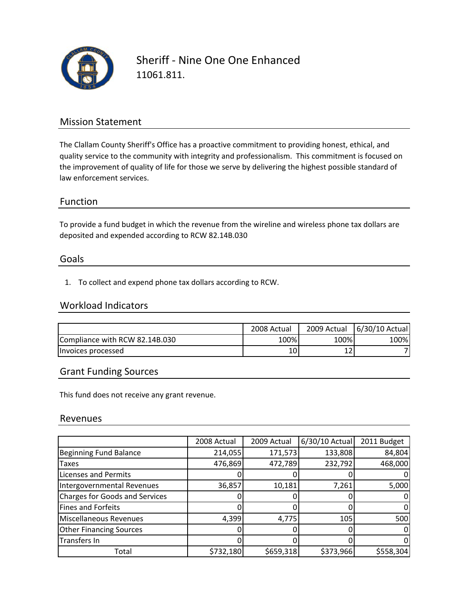

Sheriff ‐ Nine One One Enhanced 11061.811.

## Mission Statement

The Clallam County Sheriff's Office has a proactive commitment to providing honest, ethical, and quality service to the community with integrity and professionalism. This commitment is focused on the improvement of quality of life for those we serve by delivering the highest possible standard of law enforcement services.

### Function

To provide a fund budget in which the revenue from the wireline and wireless phone tax dollars are deposited and expended according to RCW 82.14B.030

#### Goals

1. To collect and expend phone tax dollars according to RCW.

### Workload Indicators

|                                | 2008 Actual | 2009 Actual | 6/30/10 Actual |
|--------------------------------|-------------|-------------|----------------|
| Compliance with RCW 82.14B.030 | 100%        | 100%        | 100%           |
| Invoices processed             | TO.         | ᅩᄼ          |                |

## Grant Funding Sources

This fund does not receive any grant revenue.

#### Revenues

|                                       | 2008 Actual | 2009 Actual | 6/30/10 Actual | 2011 Budget |
|---------------------------------------|-------------|-------------|----------------|-------------|
| <b>Beginning Fund Balance</b>         | 214,055     | 171,573     | 133,808        | 84,804      |
| Taxes                                 | 476,869     | 472,789     | 232,792        | 468,000     |
| <b>Licenses and Permits</b>           |             |             |                |             |
| Intergovernmental Revenues            | 36,857      | 10,181      | 7,261          | 5,000       |
| <b>Charges for Goods and Services</b> |             |             |                |             |
| <b>Fines and Forfeits</b>             |             |             |                |             |
| Miscellaneous Revenues                | 4,399       | 4,775       | 105            | 500         |
| <b>Other Financing Sources</b>        |             |             |                |             |
| Transfers In                          |             |             |                |             |
| Total                                 | \$732,180   | \$659,318   | \$373,966      | \$558,304   |